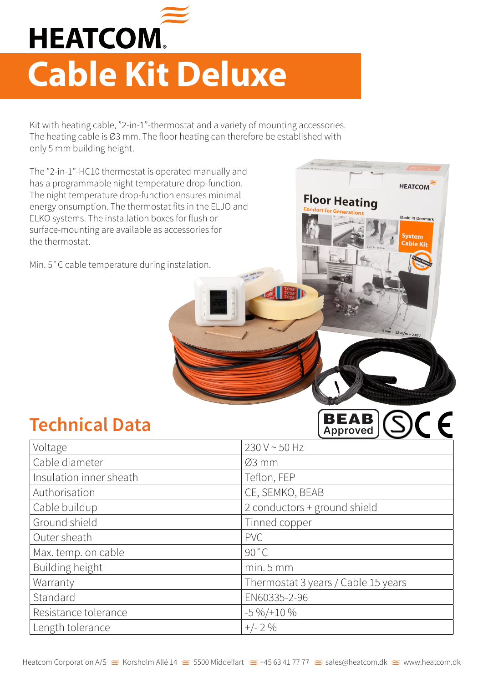

## **Cable Kit Deluxe**

Kit with heating cable, "2-in-1"-thermostat and a variety of mounting accessories. The heating cable is Ø3 mm. The floor heating can therefore be established with only 5 mm building height.

**HEATCOM** 

 $12W/m$ 

**BEAB** OCF

**Floor Heating** 

The "2-in-1"-HC10 thermostat is operated manually and has a programmable night temperature drop-function. The night temperature drop-function ensures minimal energy onsumption. The thermostat fits in the ELJO and ELKO systems. The installation boxes for flush or surface-mounting are available as accessories for the thermostat.

Min. 5˚C cable temperature during instalation.

## **Technical Data**

|                         | A                                   |
|-------------------------|-------------------------------------|
| Voltage                 | 230 V ~ 50 Hz                       |
| Cable diameter          | $Ø3$ mm                             |
| Insulation inner sheath | Teflon, FEP                         |
| Authorisation           | CE, SEMKO, BEAB                     |
| Cable buildup           | 2 conductors + ground shield        |
| Ground shield           | Tinned copper                       |
| Outer sheath            | <b>PVC</b>                          |
| Max. temp. on cable     | 90 °C                               |
| Building height         | $min.5$ mm                          |
| Warranty                | Thermostat 3 years / Cable 15 years |
| Standard                | EN60335-2-96                        |
| Resistance tolerance    | $-5\frac{9}{6}$ /+10 %              |
| Length tolerance        | $+/- 2 \%$                          |
|                         |                                     |